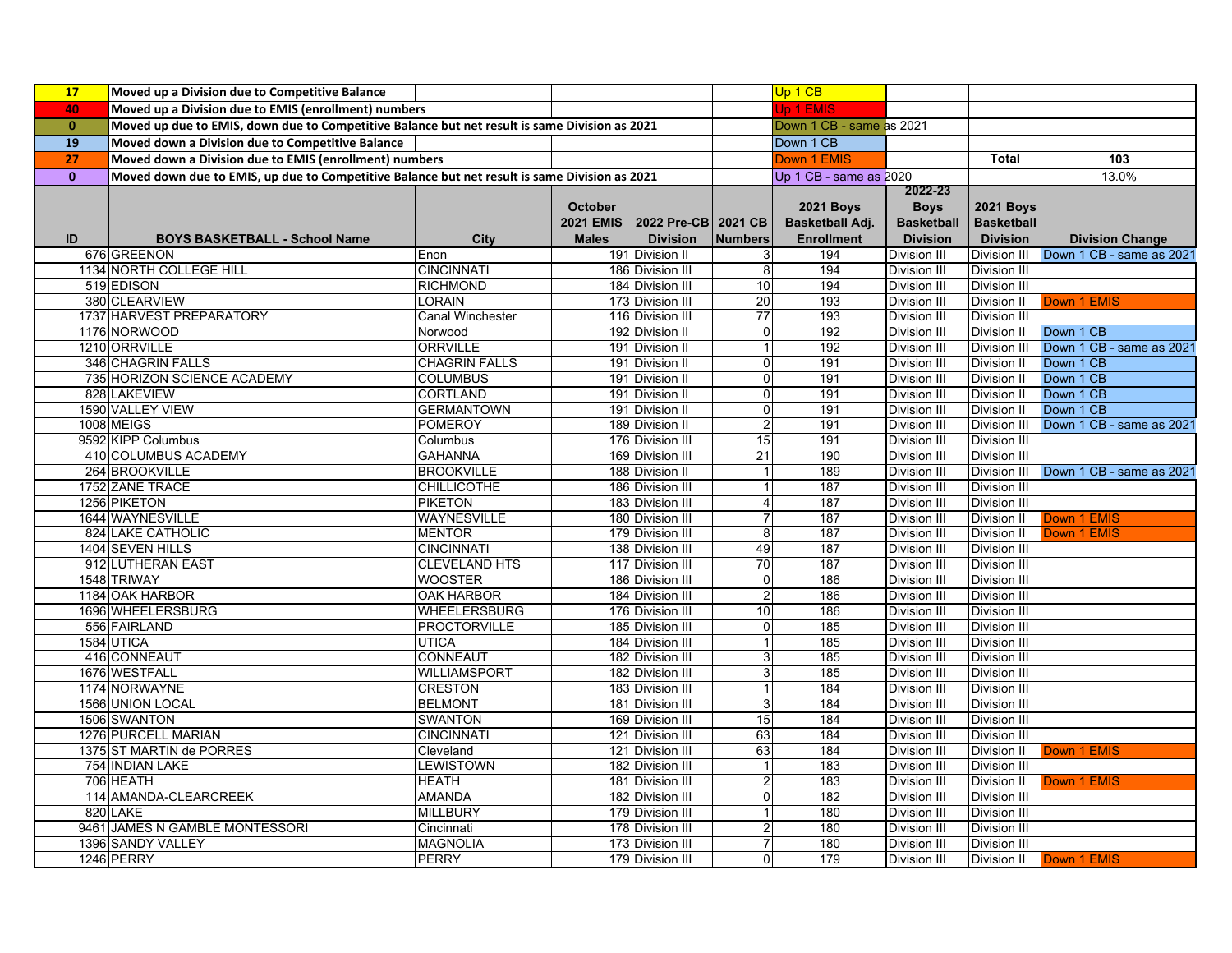| 17           | Moved up a Division due to Competitive Balance                                                |                               |                  |                                      |                    | Up 1 CB                  |                                     |                                            |                          |
|--------------|-----------------------------------------------------------------------------------------------|-------------------------------|------------------|--------------------------------------|--------------------|--------------------------|-------------------------------------|--------------------------------------------|--------------------------|
| 40           | Moved up a Division due to EMIS (enrollment) numbers                                          |                               |                  |                                      |                    | Jp 1 EMIS                |                                     |                                            |                          |
| $\mathbf{0}$ | Moved up due to EMIS, down due to Competitive Balance but net result is same Division as 2021 |                               |                  |                                      |                    | Down 1 CB - same as 2021 |                                     |                                            |                          |
| 19           | Moved down a Division due to Competitive Balance                                              |                               |                  |                                      |                    | Down 1 CB                |                                     |                                            |                          |
| 27           | Moved down a Division due to EMIS (enrollment) numbers                                        |                               |                  |                                      |                    | Down 1 EMIS              |                                     | <b>Total</b>                               | 103                      |
| $\mathbf{0}$ | Moved down due to EMIS, up due to Competitive Balance but net result is same Division as 2021 |                               |                  |                                      |                    | Up 1 CB - same as 2020   |                                     |                                            | 13.0%                    |
|              |                                                                                               |                               |                  |                                      |                    |                          | 2022-23                             |                                            |                          |
|              |                                                                                               |                               | <b>October</b>   |                                      |                    | <b>2021 Boys</b>         | <b>Boys</b>                         | <b>2021 Boys</b>                           |                          |
|              |                                                                                               |                               | <b>2021 EMIS</b> | 2022 Pre-CB 2021 CB                  |                    | Basketball Adj.          | <b>Basketball</b>                   | <b>Basketball</b>                          |                          |
| ID           | <b>BOYS BASKETBALL - School Name</b>                                                          | City                          | <b>Males</b>     | <b>Division</b>                      | <b>Numbers</b>     | <b>Enrollment</b>        | <b>Division</b>                     | <b>Division</b>                            | <b>Division Change</b>   |
|              | 676 GREENON                                                                                   | Enon                          |                  | 191 Division II                      | 3                  | 194                      | Division III                        | Division III                               | Down 1 CB - same as 2021 |
|              | 1134 NORTH COLLEGE HILL                                                                       | <b>CINCINNATI</b>             |                  | 186 Division III                     | 8                  | 194                      | Division III                        | <b>Division III</b>                        |                          |
|              | 519 EDISON                                                                                    | <b>RICHMOND</b>               |                  | 184 Division III                     | 10                 | 194                      | Division III                        | <b>Division III</b>                        |                          |
|              | 380 CLEARVIEW                                                                                 | LORAIN                        |                  | 173 Division III                     | 20                 | 193                      | Division III                        | Division II                                | Down 1 EMIS              |
|              | 1737 HARVEST PREPARATORY                                                                      | Canal Winchester              |                  | 116 Division III                     | $\overline{77}$    | 193                      | Division III                        | <b>Division III</b>                        |                          |
|              | 1176 NORWOOD                                                                                  | Norwood                       |                  | 192 Division II                      | $\overline{0}$     | 192                      | Division III                        | Division II                                | Down 1 CB                |
|              | 1210 ORRVILLE                                                                                 | <b>ORRVILLE</b>               |                  | 191 Division II                      |                    | 192                      | Division III                        | <b>Division III</b>                        | Down 1 CB - same as 2021 |
|              | 346 CHAGRIN FALLS                                                                             | <b>CHAGRIN FALLS</b>          |                  | 191 Division II                      | 0                  | 191                      | <b>Division III</b>                 | <b>Division II</b>                         | Down 1 CB                |
|              | 735 HORIZON SCIENCE ACADEMY                                                                   | <b>COLUMBUS</b>               |                  | 191 Division II                      | 0                  | 191                      | Division III                        | <b>Division II</b>                         | Down 1 CB                |
|              | 828 LAKEVIEW                                                                                  | <b>CORTLAND</b>               |                  | 191 Division II                      | 0                  | 191                      | <b>Division III</b>                 | Division II                                | Down 1 CB                |
|              | 1590 VALLEY VIEW                                                                              | <b>GERMANTOWN</b>             |                  | 191 Division II                      | 0                  | 191                      | Division III                        | <b>Division II</b>                         | Down 1 CB                |
|              | 1008 MEIGS                                                                                    | <b>POMEROY</b>                |                  | 189 Division II                      | 2                  | 191                      | <b>Division III</b>                 | <b>Division III</b>                        | Down 1 CB - same as 2021 |
|              | 9592 KIPP Columbus                                                                            | Columbus                      |                  | 176 Division III                     | 15                 | 191                      | Division III                        | <b>Division III</b>                        |                          |
|              | 410 COLUMBUS ACADEMY                                                                          | <b>GAHANNA</b>                |                  | 169 Division III                     | $\overline{21}$    | 190                      | Division III                        | <b>Division III</b>                        |                          |
|              | 264 BROOKVILLE                                                                                | <b>BROOKVILLE</b>             |                  | 188 Division II                      | 1                  | 189                      | <b>Division III</b>                 | <b>Division III</b>                        | Down 1 CB - same as 2021 |
|              | 1752 ZANE TRACE                                                                               | <b>CHILLICOTHE</b>            |                  | 186 Division III                     | 1                  | 187                      | Division III                        | <b>Division III</b>                        |                          |
|              | 1256 PIKETON                                                                                  | <b>PIKETON</b>                |                  | 183 Division III                     | 4                  | 187                      | <b>Division III</b>                 | <b>Division III</b>                        |                          |
|              | 1644 WAYNESVILLE                                                                              | WAYNESVILLE                   |                  | 180 Division III                     | 7                  | 187                      | Division III                        | <b>Division II</b>                         | Down 1 EMIS              |
|              | 824 LAKE CATHOLIC                                                                             | <b>MENTOR</b>                 |                  | 179 Division III                     | 8                  | 187                      | <b>Division III</b>                 | <b>Division II</b>                         | Down 1 EMIS              |
|              | 1404 SEVEN HILLS                                                                              | <b>CINCINNATI</b>             |                  | 138 Division III                     | 49                 | 187                      | <b>Division III</b>                 | Division III                               |                          |
|              | 912 LUTHERAN EAST                                                                             | <b>CLEVELAND HTS</b>          |                  | 117 Division III                     | 70                 | 187                      | Division III                        | <b>Division III</b>                        |                          |
|              | 1548 TRIWAY                                                                                   | WOOSTER                       |                  | 186 Division III                     | 0                  | 186                      | Division III                        | <b>Division III</b>                        |                          |
|              | 1184 OAK HARBOR                                                                               | OAK HARBOR                    |                  | 184 Division III                     | $\overline{c}$     | 186                      | Division III                        | <b>Division III</b>                        |                          |
|              | 1696 WHEELERSBURG                                                                             | <b>WHEELERSBURG</b>           |                  | 176 Division III                     | 10                 | 186                      | Division III                        | <b>Division III</b>                        |                          |
|              | 556 FAIRLAND                                                                                  | <b>PROCTORVILLE</b>           |                  | 185 Division III                     | $\overline{0}$     | 185                      | Division III                        | Division III                               |                          |
|              | 1584 UTICA                                                                                    | <b>UTICA</b>                  |                  | 184 Division III                     | 1                  | 185                      | Division III                        | <b>Division III</b>                        |                          |
|              | 416 CONNEAUT                                                                                  | <b>CONNEAUT</b>               |                  | 182 Division III                     | 3                  | 185                      | Division III                        | <b>Division III</b>                        |                          |
|              | 1676 WESTFALL                                                                                 | WILLIAMSPORT                  |                  | 182 Division III                     | 3                  | 185                      | Division III                        | <b>Division III</b>                        |                          |
|              | 1174 NORWAYNE                                                                                 | <b>CRESTON</b>                |                  | 183 Division III                     | 1                  | 184                      | Division III                        | <b>Division III</b>                        |                          |
|              | 1566 UNION LOCAL<br>1506 SWANTON                                                              | <b>BELMONT</b>                |                  | 181 Division III                     | $\mathbf{3}$<br>15 | 184<br>184               | Division III                        | <b>Division III</b>                        |                          |
|              |                                                                                               | <b>SWANTON</b>                |                  | 169 Division III                     |                    |                          | <b>Division III</b>                 | <b>Division III</b>                        |                          |
|              | 1276 PURCELL MARIAN                                                                           | <b>CINCINNATI</b>             |                  | 121 Division III                     | 63                 | 184<br>184               | Division III                        | Division III                               |                          |
|              | 1375 ST MARTIN de PORRES                                                                      | Cleveland<br><b>LEWISTOWN</b> |                  | 121 Division III                     | 63                 |                          | Division III                        | Division II                                | Down 1 EMIS              |
|              | 754 INDIAN LAKE<br>706 HEATH                                                                  | <b>HEATH</b>                  |                  | 182 Division III<br>181 Division III | 2                  | 183<br>183               | <b>Division III</b><br>Division III | <b>Division III</b><br><b>Division II</b>  | Down 1 EMIS              |
|              | 114 AMANDA-CLEARCREEK                                                                         | <b>AMANDA</b>                 |                  |                                      | $\overline{0}$     | 182                      |                                     |                                            |                          |
|              | 820 LAKE                                                                                      | <b>MILLBURY</b>               |                  | 182 Division III<br>179 Division III | 1                  | 180                      | Division III<br><b>Division III</b> | <b>Division III</b><br><b>Division III</b> |                          |
|              | 9461 JAMES N GAMBLE MONTESSORI                                                                | Cincinnati                    |                  | 178 Division III                     | 2                  | 180                      | <b>Division III</b>                 | <b>Division III</b>                        |                          |
|              | 1396 SANDY VALLEY                                                                             | <b>MAGNOLIA</b>               |                  | 173 Division III                     | 7                  | 180                      | Division III                        | Division III                               |                          |
|              | 1246 PERRY                                                                                    | <b>PERRY</b>                  |                  | 179 Division III                     | 0                  | 179                      | Division III                        | Division II                                | Down 1 EMIS              |
|              |                                                                                               |                               |                  |                                      |                    |                          |                                     |                                            |                          |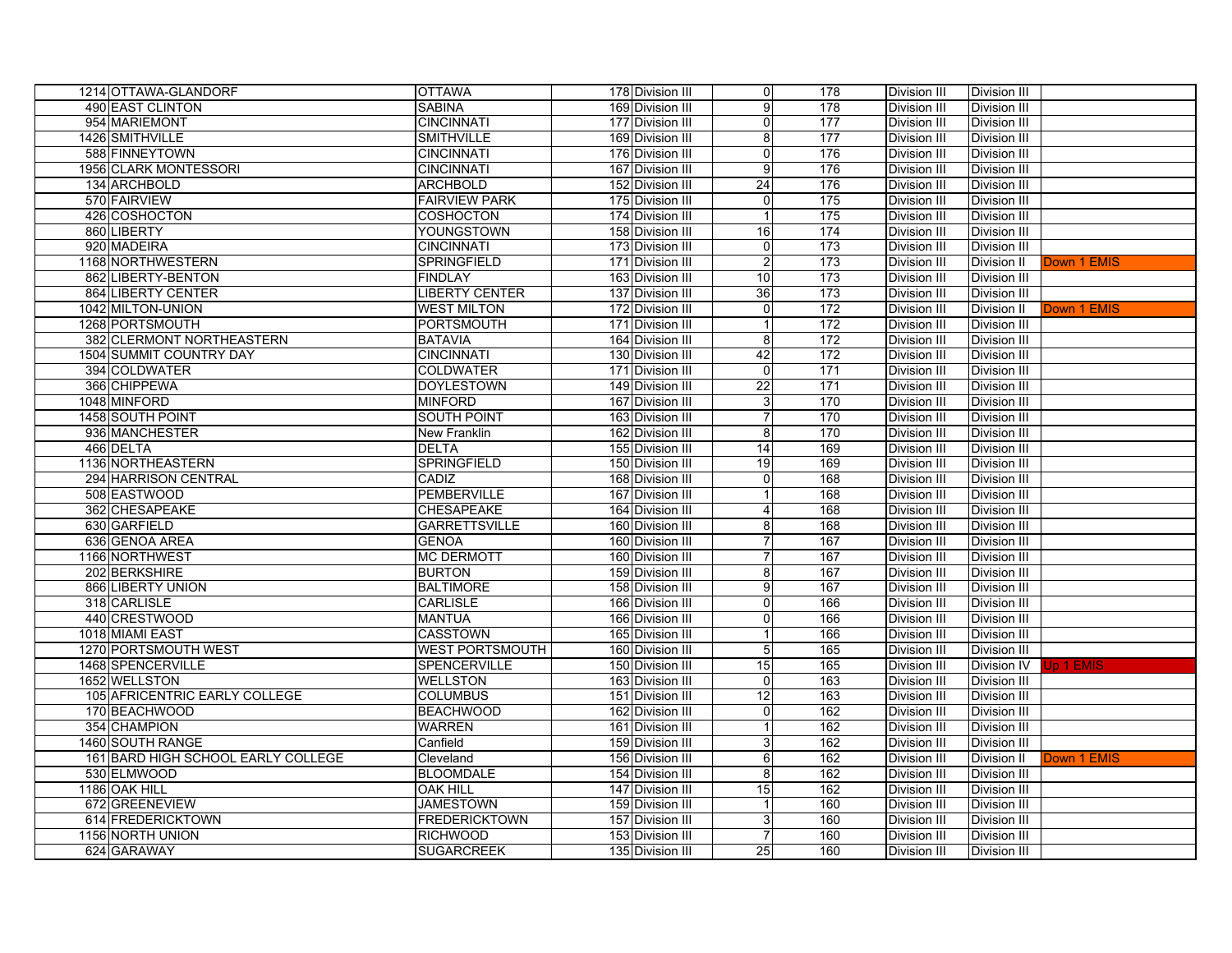| 1214 OTTAWA-GLANDORF               | <b>OTTAWA</b>          | 178 Division III | 0                         | 178              | Division III        | Division III        |             |
|------------------------------------|------------------------|------------------|---------------------------|------------------|---------------------|---------------------|-------------|
| 490 EAST CLINTON                   | <b>SABINA</b>          | 169 Division III | 9                         | 178              | Division III        | Division III        |             |
| 954 MARIEMONT                      | <b>CINCINNATI</b>      | 177 Division III | $\overline{0}$            | $\overline{177}$ | Division III        | <b>Division III</b> |             |
| 1426 SMITHVILLE                    | <b>SMITHVILLE</b>      | 169 Division III | 8 <sup>1</sup>            | 177              | Division III        | Division III        |             |
| 588 FINNEYTOWN                     | <b>CINCINNATI</b>      | 176 Division III | $\overline{\mathsf{o}}$   | 176              | Division III        | <b>Division III</b> |             |
| 1956 CLARK MONTESSORI              | <b>CINCINNATI</b>      | 167 Division III | 9                         | 176              | Division III        | <b>Division III</b> |             |
| 134 ARCHBOLD                       | <b>ARCHBOLD</b>        | 152 Division III | 24                        | 176              | Division III        | <b>Division III</b> |             |
| 570 FAIRVIEW                       | <b>FAIRVIEW PARK</b>   | 175 Division III | 0                         | 175              | Division III        | Division III        |             |
| 426 COSHOCTON                      | <b>COSHOCTON</b>       | 174 Division III | $\mathbf 1$               | 175              | Division III        | <b>Division III</b> |             |
| 860 LIBERTY                        | YOUNGSTOWN             | 158 Division III | 16                        | 174              | Division III        | Division III        |             |
| 920 MADEIRA                        | <b>CINCINNATI</b>      | 173 Division III | $\overline{\mathbf{0}}$   | 173              | Division III        | <b>Division III</b> |             |
| 1168 NORTHWESTERN                  | SPRINGFIELD            | 171 Division III | $\overline{c}$            | 173              | Division III        | Division II         | Down 1 EMIS |
| 862 LIBERTY-BENTON                 | <b>FINDLAY</b>         | 163 Division III | 10                        | 173              | Division III        | <b>Division III</b> |             |
| 864 LIBERTY CENTER                 | <b>LIBERTY CENTER</b>  | 137 Division III | 36                        | 173              | Division III        | Division III        |             |
| 1042 MILTON-UNION                  | <b>WEST MILTON</b>     | 172 Division III | $\overline{0}$            | 172              | Division III        | <b>Division II</b>  | Down 1 EMIS |
| 1268 PORTSMOUTH                    | PORTSMOUTH             | 171 Division III | $\mathbf 1$               | 172              | Division III        | <b>Division III</b> |             |
| 382 CLERMONT NORTHEASTERN          | <b>BATAVIA</b>         | 164 Division III | 8 <sup>1</sup>            | 172              | <b>Division III</b> | Division III        |             |
| 1504 SUMMIT COUNTRY DAY            | <b>CINCINNATI</b>      | 130 Division III | 42                        | 172              | Division III        | <b>Division III</b> |             |
| 394 COLDWATER                      | <b>COLDWATER</b>       | 171 Division III | $\overline{0}$            | 171              | Division III        | <b>Division III</b> |             |
| 366 CHIPPEWA                       | <b>DOYLESTOWN</b>      | 149 Division III | 22                        | 171              | Division III        | Division III        |             |
| 1048 MINFORD                       | <b>MINFORD</b>         | 167 Division III | $\ensuremath{\mathsf{3}}$ | 170              | Division III        | <b>Division III</b> |             |
| 1458 SOUTH POINT                   | <b>SOUTH POINT</b>     | 163 Division III | $\overline{7}$            | 170              | Division III        | <b>Division III</b> |             |
| 936 MANCHESTER                     | New Franklin           | 162 Division III | 8                         | 170              | Division III        | <b>Division III</b> |             |
| 466 DELTA                          | <b>DELTA</b>           | 155 Division III | $\overline{14}$           | 169              | Division III        | <b>Division III</b> |             |
| 1136 NORTHEASTERN                  | <b>SPRINGFIELD</b>     | 150 Division III | 19                        | 169              | Division III        | <b>Division III</b> |             |
| 294 HARRISON CENTRAL               | CADIZ                  | 168 Division III | $\overline{0}$            | 168              | Division III        | Division III        |             |
| 508 EASTWOOD                       | PEMBERVILLE            | 167 Division III | $\mathbf 1$               | 168              | Division III        | <b>Division III</b> |             |
| 362 CHESAPEAKE                     | CHESAPEAKE             | 164 Division III | $\overline{4}$            | 168              | Division III        | <b>Division III</b> |             |
| 630 GARFIELD                       | <b>GARRETTSVILLE</b>   | 160 Division III | 8                         | 168              | Division III        | <b>Division III</b> |             |
| 636 GENOA AREA                     | <b>GENOA</b>           | 160 Division III | $\overline{7}$            | 167              | Division III        | <b>Division III</b> |             |
| 1166 NORTHWEST                     | <b>MC DERMOTT</b>      | 160 Division III | $\overline{7}$            | 167              | Division III        | <b>Division III</b> |             |
| 202 BERKSHIRE                      | <b>BURTON</b>          | 159 Division III | 8 <sup>1</sup>            | 167              | Division III        | Division III        |             |
| 866 LIBERTY UNION                  | <b>BALTIMORE</b>       | 158 Division III | $\overline{9}$            | 167              | Division III        | <b>Division III</b> |             |
| 318 CARLISLE                       | <b>CARLISLE</b>        | 166 Division III | $\overline{0}$            | 166              | Division III        | <b>Division III</b> |             |
| 440 CRESTWOOD                      | <b>MANTUA</b>          | 166 Division III | $\overline{0}$            | 166              | <b>Division III</b> | Division III        |             |
| 1018 MIAMI EAST                    | <b>CASSTOWN</b>        | 165 Division III |                           | 166              | Division III        | Division III        |             |
| 1270 PORTSMOUTH WEST               | <b>WEST PORTSMOUTH</b> | 160 Division III | 5                         | 165              | Division III        | <b>Division III</b> |             |
| 1468 SPENCERVILLE                  | SPENCERVILLE           | 150 Division III | 15                        | 165              | Division III        | Division IV         | Jp 1 EMIS   |
| 1652 WELLSTON                      | <b>WELLSTON</b>        | 163 Division III | $\overline{0}$            | 163              | Division III        | <b>Division III</b> |             |
| 105 AFRICENTRIC EARLY COLLEGE      | <b>COLUMBUS</b>        | 151 Division III | 12                        | 163              | <b>Division III</b> | Division III        |             |
| 170 BEACHWOOD                      | <b>BEACHWOOD</b>       | 162 Division III | $\mathbf 0$               | 162              | <b>Division III</b> | Division III        |             |
| 354 CHAMPION                       | <b>WARREN</b>          | 161 Division III |                           | 162              | Division III        | Division III        |             |
| 1460 SOUTH RANGE                   | Canfield               | 159 Division III | $\mathbf{3}$              | 162              | Division III        | <b>Division III</b> |             |
| 161 BARD HIGH SCHOOL EARLY COLLEGE | Cleveland              | 156 Division III | 6                         | 162              | Division III        | Division II         | Down 1 EMIS |
| 530 ELMWOOD                        | <b>BLOOMDALE</b>       | 154 Division III | 8                         | 162              | Division III        | Division III        |             |
| 1186 OAK HILL                      | <b>OAK HILL</b>        | 147 Division III | 15                        | 162              | Division III        | <b>Division III</b> |             |
| 672 GREENEVIEW                     | <b>JAMESTOWN</b>       | 159 Division III |                           | 160              | Division III        | Division III        |             |
| 614 FREDERICKTOWN                  | <b>FREDERICKTOWN</b>   | 157 Division III | 3                         | 160              | <b>Division III</b> | <b>Division III</b> |             |
| 1156 NORTH UNION                   | <b>RICHWOOD</b>        | 153 Division III | $\overline{7}$            | 160              | Division III        | Division III        |             |
| 624 GARAWAY                        | <b>SUGARCREEK</b>      | 135 Division III | 25                        | 160              | Division III        | Division III        |             |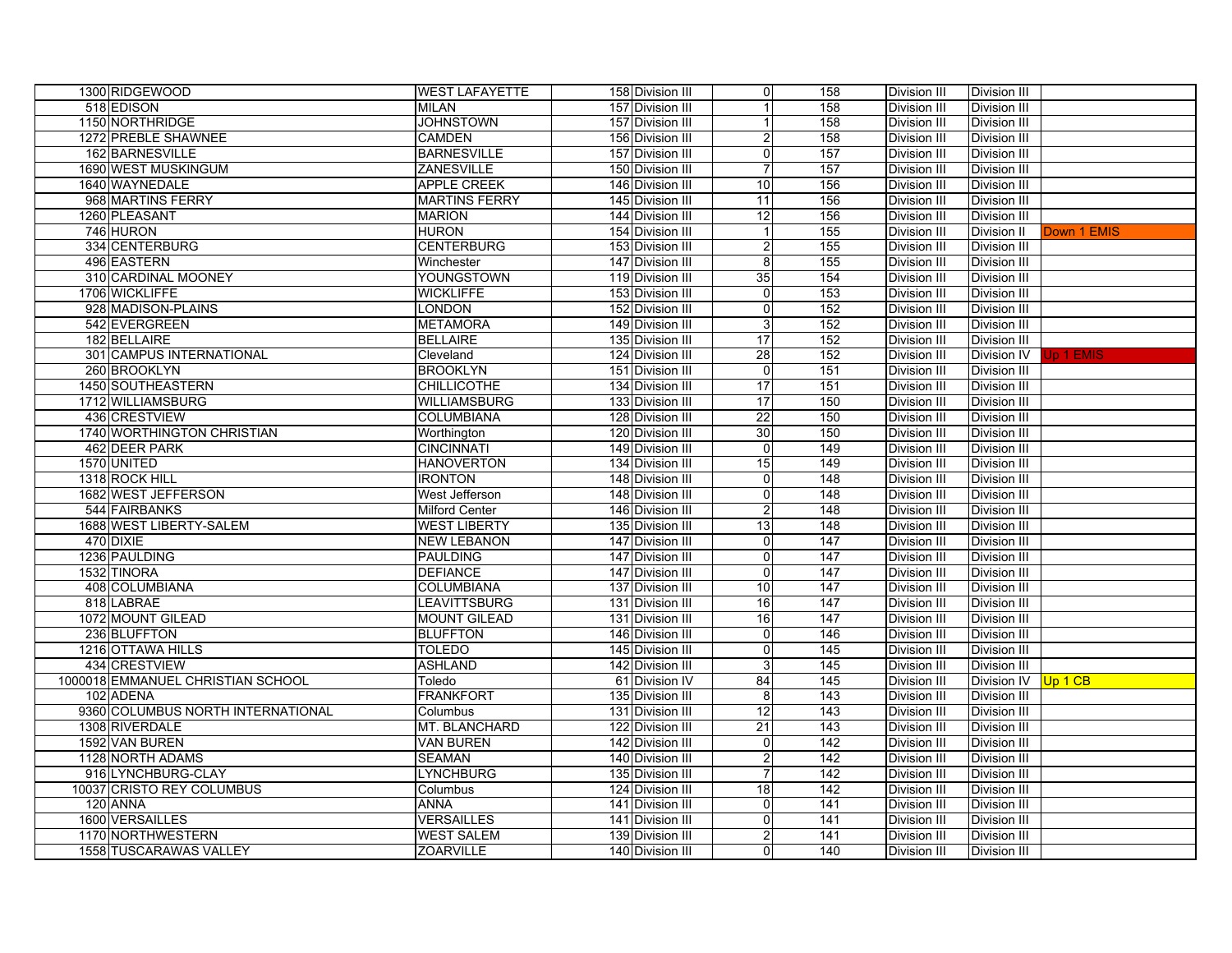| 1300 RIDGEWOOD                    | <b>WEST LAFAYETTE</b> | 158 Division III | $\overline{0}$            | 158              | Division III        | Division III        |             |
|-----------------------------------|-----------------------|------------------|---------------------------|------------------|---------------------|---------------------|-------------|
| 518 EDISON                        | <b>MILAN</b>          | 157 Division III | $\mathbf{1}$              | 158              | Division III        | Division III        |             |
| 1150 NORTHRIDGE                   | <b>JOHNSTOWN</b>      | 157 Division III | $\mathbf{1}$              | 158              | Division III        | Division III        |             |
| 1272 PREBLE SHAWNEE               | <b>CAMDEN</b>         | 156 Division III | 2                         | 158              | Division III        | Division III        |             |
| 162 BARNESVILLE                   | <b>BARNESVILLE</b>    | 157 Division III | $\mathbf 0$               | 157              | Division III        | <b>Division III</b> |             |
| 1690 WEST MUSKINGUM               | ZANESVILLE            | 150 Division III | $\overline{7}$            | 157              | Division III        | Division III        |             |
| 1640 WAYNEDALE                    | <b>APPLE CREEK</b>    | 146 Division III | 10                        | 156              | <b>Division III</b> | Division III        |             |
| 968 MARTINS FERRY                 | <b>MARTINS FERRY</b>  | 145 Division III | 11                        | 156              | Division III        | Division III        |             |
| 1260 PLEASANT                     | <b>MARION</b>         | 144 Division III | 12                        | 156              | <b>Division III</b> | Division III        |             |
| 746 HURON                         | <b>HURON</b>          | 154 Division III | $\mathbf{1}$              | 155              | <b>Division III</b> | Division II         | Down 1 EMIS |
| 334 CENTERBURG                    | <b>CENTERBURG</b>     | 153 Division III | 2                         | 155              | Division III        | Division III        |             |
| 496 EASTERN                       | Winchester            | 147 Division III | $\overline{\mathbf{8}}$   | 155              | Division III        | Division III        |             |
| 310 CARDINAL MOONEY               | YOUNGSTOWN            | 119 Division III | 35                        | 154              | Division III        | Division III        |             |
| 1706 WICKLIFFE                    | <b>WICKLIFFE</b>      | 153 Division III | 0                         | 153              | Division III        | Division III        |             |
| 928 MADISON-PLAINS                | <b>LONDON</b>         | 152 Division III | $\pmb{0}$                 | 152              | Division III        | Division III        |             |
| 542 EVERGREEN                     | <b>METAMORA</b>       | 149 Division III | 3                         | 152              | Division III        | Division III        |             |
| 182 BELLAIRE                      | <b>BELLAIRE</b>       | 135 Division III | $\overline{17}$           | 152              | Division III        | Division III        |             |
| 301 CAMPUS INTERNATIONAL          | Cleveland             | 124 Division III | $\overline{28}$           | 152              | Division III        | Division IV         | Jp 1 EMIS   |
| 260 BROOKLYN                      | <b>BROOKLYN</b>       | 151 Division III | $\mathbf 0$               | 151              | Division III        | Division III        |             |
| 1450 SOUTHEASTERN                 | <b>CHILLICOTHE</b>    | 134 Division III | 17                        | 151              | Division III        | Division III        |             |
| 1712 WILLIAMSBURG                 | <b>WILLIAMSBURG</b>   | 133 Division III | 17                        | 150              | <b>Division III</b> | Division III        |             |
| 436 CRESTVIEW                     | <b>COLUMBIANA</b>     | 128 Division III | 22                        | 150              | <b>Division III</b> | Division III        |             |
| 1740 WORTHINGTON CHRISTIAN        | Worthington           | 120 Division III | 30                        | 150              | Division III        | Division III        |             |
| 462 DEER PARK                     | <b>CINCINNATI</b>     | 149 Division III | 0                         | 149              | <b>Division III</b> | Division III        |             |
| 1570 UNITED                       | <b>HANOVERTON</b>     | 134 Division III | 15                        | 149              | <b>Division III</b> | Division III        |             |
| 1318 ROCK HILL                    | <b>IRONTON</b>        | 148 Division III | 0                         | 148              | <b>Division III</b> | Division III        |             |
| 1682 WEST JEFFERSON               | <b>West Jefferson</b> | 148 Division III | 0                         | 148              | <b>Division III</b> | Division III        |             |
| 544 FAIRBANKS                     | <b>Milford Center</b> | 146 Division III | 2                         | 148              | <b>Division III</b> | Division III        |             |
| 1688 WEST LIBERTY-SALEM           | <b>WEST LIBERTY</b>   | 135 Division III | 13                        | 148              | <b>Division III</b> | Division III        |             |
| 470 DIXIE                         | <b>NEW LEBANON</b>    | 147 Division III | $\mathbf 0$               | 147              | Division III        | Division III        |             |
| 1236 PAULDING                     | PAULDING              | 147 Division III | $\mathbf 0$               | $\overline{147}$ | Division III        | Division III        |             |
| 1532 TINORA                       | <b>DEFIANCE</b>       | 147 Division III | 0                         | 147              | <b>Division III</b> | Division III        |             |
| 408 COLUMBIANA                    | COLUMBIANA            | 137 Division III | 10                        | 147              | <b>Division III</b> | Division III        |             |
| 818 LABRAE                        | <b>LEAVITTSBURG</b>   | 131 Division III | 16                        | 147              | <b>Division III</b> | Division III        |             |
| 1072 MOUNT GILEAD                 | <b>MOUNT GILEAD</b>   | 131 Division III | 16                        | 147              | <b>Division III</b> | Division III        |             |
| 236 BLUFFTON                      | <b>BLUFFTON</b>       | 146 Division III | 0                         | 146              | <b>Division III</b> | Division III        |             |
| 1216 OTTAWA HILLS                 | <b>TOLEDO</b>         | 145 Division III | $\overline{0}$            | 145              | <b>Division III</b> | Division III        |             |
| 434 CRESTVIEW                     | <b>ASHLAND</b>        | 142 Division III | $\ensuremath{\mathsf{3}}$ | 145              | <b>Division III</b> | Division III        |             |
| 1000018 EMMANUEL CHRISTIAN SCHOOL | Toledo                | 61 Division IV   | 84                        | 145              | <b>Division III</b> | <b>Division IV</b>  | Up 1 CB     |
| 102 ADENA                         | FRANKFORT             | 135 Division III | 8                         | 143              | <b>Division III</b> | Division III        |             |
| 9360 COLUMBUS NORTH INTERNATIONAL | Columbus              | 131 Division III | 12                        | 143              | Division III        | Division III        |             |
| 1308 RIVERDALE                    | MT. BLANCHARD         | 122 Division III | 21                        | 143              | Division III        | Division III        |             |
| 1592 VAN BUREN                    | <b>VAN BUREN</b>      | 142 Division III | $\pmb{0}$                 | 142              | <b>Division III</b> | Division III        |             |
| 1128 NORTH ADAMS                  | <b>SEAMAN</b>         | 140 Division III | $\overline{2}$            | 142              | <b>Division III</b> | Division III        |             |
| 916 LYNCHBURG-CLAY                | <b>LYNCHBURG</b>      | 135 Division III | $\boldsymbol{7}$          | 142              | Division III        | Division III        |             |
| 10037 CRISTO REY COLUMBUS         | Columbus              | 124 Division III | 18                        | 142              | <b>Division III</b> | <b>Division III</b> |             |
| 120 ANNA                          | <b>ANNA</b>           | 141 Division III | $\pmb{0}$                 | 141              | <b>Division III</b> | Division III        |             |
| 1600 VERSAILLES                   | <b>VERSAILLES</b>     | 141 Division III | 0                         | 141              | <b>Division III</b> | <b>Division III</b> |             |
| 1170 NORTHWESTERN                 | <b>WEST SALEM</b>     | 139 Division III | $\boldsymbol{2}$          | 141              | <b>Division III</b> | <b>Division III</b> |             |
| 1558 TUSCARAWAS VALLEY            | <b>ZOARVILLE</b>      | 140 Division III | $\mathbf 0$               | 140              | Division III        | Division III        |             |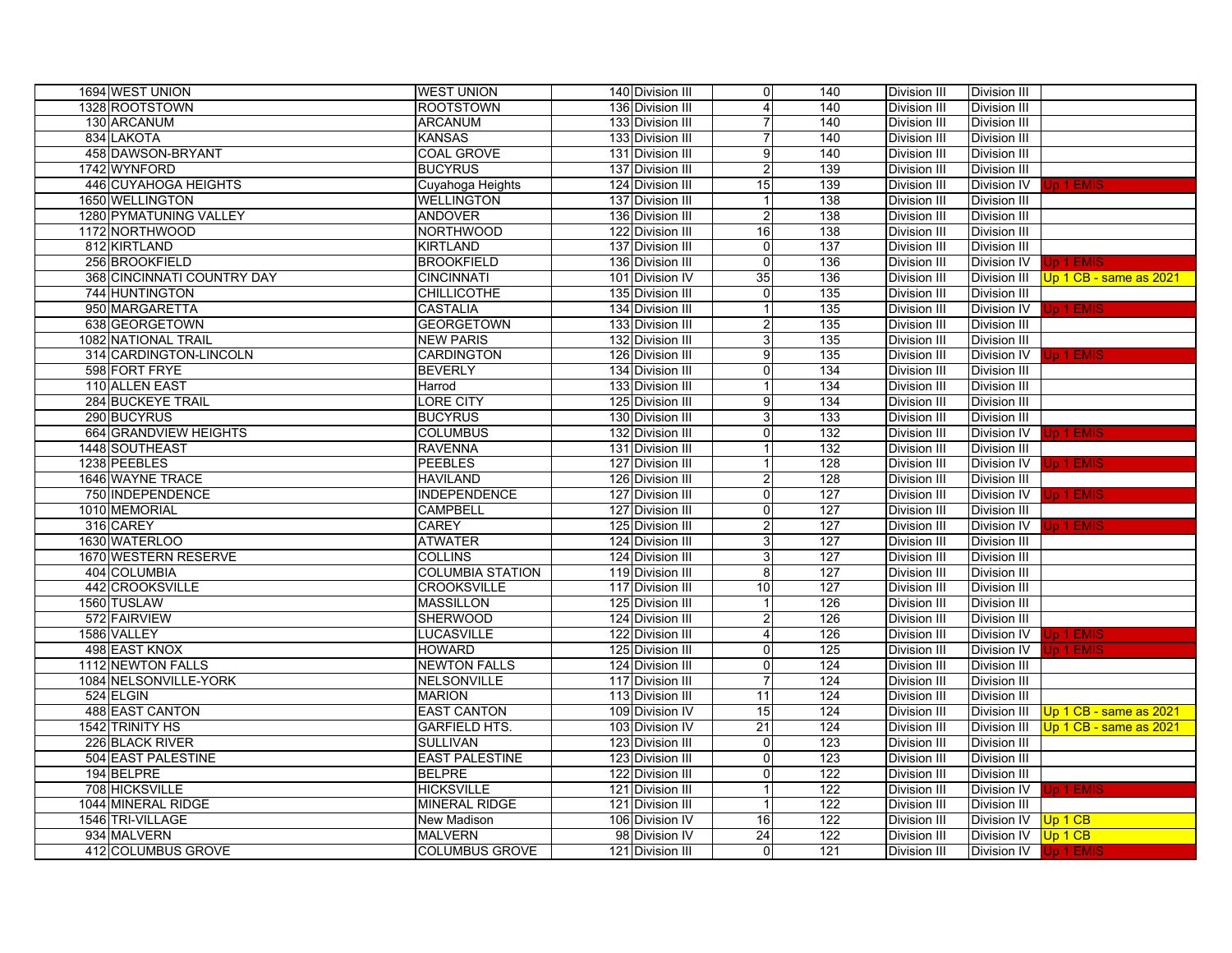| 1694 WEST UNION             | <b>WEST UNION</b>       | 140 Division III | 0                         | 140              | Division III        | Division III          |                        |
|-----------------------------|-------------------------|------------------|---------------------------|------------------|---------------------|-----------------------|------------------------|
| 1328 ROOTSTOWN              | <b>ROOTSTOWN</b>        | 136 Division III | $\overline{4}$            | 140              | Division III        | Division III          |                        |
| 130 ARCANUM                 | <b>ARCANUM</b>          | 133 Division III | $\overline{7}$            | 140              | Division III        | Division III          |                        |
| 834 LAKOTA                  | <b>KANSAS</b>           | 133 Division III | $\overline{7}$            | 140              | Division III        | Division III          |                        |
| 458 DAWSON-BRYANT           | <b>COAL GROVE</b>       | 131 Division III | 9                         | 140              | Division III        | <b>Division III</b>   |                        |
| 1742 WYNFORD                | <b>BUCYRUS</b>          | 137 Division III | $\overline{c}$            | 139              | Division III        | <b>Division III</b>   |                        |
| 446 CUYAHOGA HEIGHTS        | Cuyahoga Heights        | 124 Division III | 15                        | 139              | Division III        | Division IV           | Up 1 EMIS              |
| 1650 WELLINGTON             | <b>WELLINGTON</b>       | 137 Division III |                           | 138              | Division III        | Division III          |                        |
| 1280 PYMATUNING VALLEY      | <b>ANDOVER</b>          | 136 Division III | $\overline{c}$            | 138              | Division III        | <b>Division III</b>   |                        |
| 1172 NORTHWOOD              | <b>NORTHWOOD</b>        | 122 Division III | 16                        | 138              | Division III        | Division III          |                        |
| 812 KIRTLAND                | <b>KIRTLAND</b>         | 137 Division III | $\overline{0}$            | $\overline{137}$ | Division III        | Division III          |                        |
| 256 BROOKFIELD              | <b>BROOKFIELD</b>       | 136 Division III | 0                         | 136              | Division III        | Division IV           | Jp 1 EMIS              |
| 368 CINCINNATI COUNTRY DAY  | <b>CINCINNATI</b>       | 101 Division IV  | 35                        | 136              | Division III        | Division III          | Up 1 CB - same as 2021 |
| 744 HUNTINGTON              | <b>CHILLICOTHE</b>      | 135 Division III | $\overline{0}$            | 135              | Division III        | <b>Division III</b>   |                        |
| 950 MARGARETTA              | <b>CASTALIA</b>         | 134 Division III | $\mathbf{1}$              | 135              | Division III        | Division IV           | Up 1 EMIS              |
| 638 GEORGETOWN              | <b>GEORGETOWN</b>       | 133 Division III | $\overline{c}$            | 135              | Division III        | <b>Division III</b>   |                        |
| 1082 NATIONAL TRAIL         | <b>NEW PARIS</b>        | 132 Division III | $\ensuremath{\mathsf{3}}$ | 135              | Division III        | <b>Division III</b>   |                        |
| 314 CARDINGTON-LINCOLN      | <b>CARDINGTON</b>       | 126 Division III | $\overline{9}$            | 135              | Division III        | Division IV           | Jp 1 EMIS              |
| 598 FORT FRYE               | <b>BEVERLY</b>          | 134 Division III | $\overline{0}$            | 134              | Division III        | <b>Division III</b>   |                        |
| 110 ALLEN EAST              | Harrod                  | 133 Division III |                           | 134              | Division III        | <b>Division III</b>   |                        |
| 284 BUCKEYE TRAIL           | <b>LORE CITY</b>        | 125 Division III | $\overline{9}$            | 134              | Division III        | <b>Division III</b>   |                        |
| 290 BUCYRUS                 | <b>BUCYRUS</b>          | 130 Division III | 3                         | 133              | Division III        | <b>Division III</b>   |                        |
| 664 GRANDVIEW HEIGHTS       | <b>COLUMBUS</b>         | 132 Division III | $\overline{0}$            | 132              | Division III        | Division IV           | Jp 1 EMIS              |
| 1448 SOUTHEAST              | <b>RAVENNA</b>          | 131 Division III |                           | 132              | <b>Division III</b> | <b>Division III</b>   |                        |
| 1238 PEEBLES                | <b>PEEBLES</b>          | 127 Division III |                           | 128              | Division III        | Division IV           | Jp 1 EMIS              |
| 1646 WAYNE TRACE            | <b>HAVILAND</b>         | 126 Division III | $\overline{2}$            | 128              | <b>Division III</b> | <b>Division III</b>   |                        |
| 750 INDEPENDENCE            | <b>INDEPENDENCE</b>     | 127 Division III | $\overline{0}$            | 127              | Division III        | Division IV           | Jp 1 EMIS              |
| 1010 MEMORIAL               | <b>CAMPBELL</b>         | 127 Division III | $\overline{0}$            | $\overline{127}$ | <b>Division III</b> | Division III          |                        |
| 316 CAREY                   | <b>CAREY</b>            | 125 Division III | $\overline{2}$            | 127              | Division III        | Division IV           | Jp 1 EMIS              |
| 1630 WATERLOO               | <b>ATWATER</b>          | 124 Division III | 3                         | 127              | Division III        | Division III          |                        |
| <b>1670 WESTERN RESERVE</b> | <b>COLLINS</b>          | 124 Division III | 3                         | 127              | Division III        | <b>Division III</b>   |                        |
| 404 COLUMBIA                | <b>COLUMBIA STATION</b> | 119 Division III | 8                         | 127              | Division III        | Division III          |                        |
| 442 CROOKSVILLE             | <b>CROOKSVILLE</b>      | 117 Division III | 10                        | 127              | Division III        | Division III          |                        |
| 1560 TUSLAW                 | <b>MASSILLON</b>        | 125 Division III | $\mathbf{1}$              | 126              | <b>Division III</b> | Division III          |                        |
| 572 FAIRVIEW                | <b>SHERWOOD</b>         | 124 Division III | $\overline{2}$            | 126              | <b>Division III</b> | Division III          |                        |
| 1586 VALLEY                 | <b>LUCASVILLE</b>       | 122 Division III | $\vert 4 \vert$           | 126              | Division III        | Division IV           | Jp 1 EMIS              |
| 498 EAST KNOX               | <b>HOWARD</b>           | 125 Division III | $\overline{0}$            | 125              | <b>Division III</b> | Division IV           | Jp 1 EMIS              |
| 1112 NEWTON FALLS           | <b>NEWTON FALLS</b>     | 124 Division III | $\overline{0}$            | 124              | Division III        | <b>Division III</b>   |                        |
| 1084 NELSONVILLE-YORK       | NELSONVILLE             | 117 Division III | $\overline{7}$            | 124              | <b>Division III</b> | Division III          |                        |
| 524 ELGIN                   | <b>MARION</b>           | 113 Division III | 11                        | 124              | <b>Division III</b> | Division III          |                        |
| <b>488 EAST CANTON</b>      | <b>EAST CANTON</b>      | 109 Division IV  | 15                        | 124              | <b>Division III</b> | Division III          | Up 1 CB - same as 2021 |
| 1542 TRINITY HS             | <b>GARFIELD HTS.</b>    | 103 Division IV  | 21                        | 124              | <b>Division III</b> | <b>Division III</b>   | Up 1 CB - same as 2021 |
| 226 BLACK RIVER             | <b>SULLIVAN</b>         | 123 Division III | $\overline{0}$            | 123              | <b>Division III</b> | <b>Division III</b>   |                        |
| 504 EAST PALESTINE          | <b>EAST PALESTINE</b>   | 123 Division III | $\overline{0}$            | 123              | <b>Division III</b> | Division III          |                        |
| 194 BELPRE                  | <b>BELPRE</b>           | 122 Division III | $\overline{0}$            | 122              | <b>Division III</b> | <b>Division III</b>   |                        |
| 708 HICKSVILLE              | <b>HICKSVILLE</b>       | 121 Division III |                           | 122              | <b>Division III</b> | Division IV           | Up 1 EMIS              |
| 1044 MINERAL RIDGE          | <b>MINERAL RIDGE</b>    | 121 Division III |                           | 122              | <b>Division III</b> | <b>Division III</b>   |                        |
| 1546 TRI-VILLAGE            | New Madison             | 106 Division IV  | 16                        | 122              | <b>Division III</b> | Division IV           | Up 1 CB                |
| 934 MALVERN                 | <b>MALVERN</b>          | 98 Division IV   | 24                        | 122              | Division III        | Division IV           | Up 1 CB                |
| 412 COLUMBUS GROVE          | <b>COLUMBUS GROVE</b>   | 121 Division III | $\overline{0}$            | 121              | Division III        | Division IV Up 1 EMIS |                        |